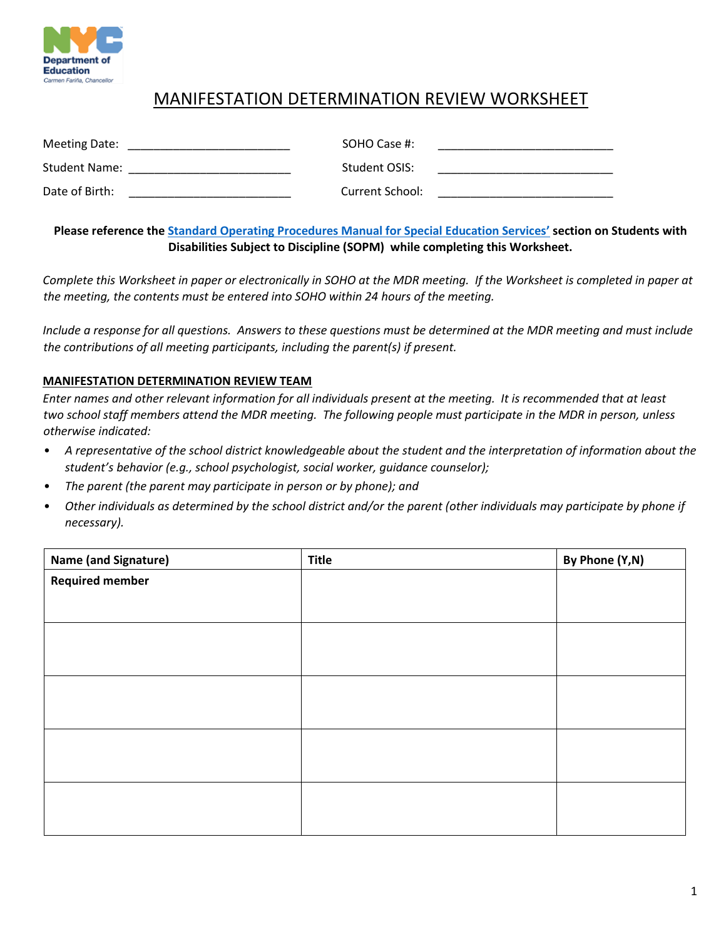

# MANIFESTATION DETERMINATION REVIEW WORKSHEET

| Meeting Date:  | SOHO Case #:    |
|----------------|-----------------|
| Student Name:  | Student OSIS:   |
| Date of Birth: | Current School: |

 **Please reference the [Standard Operating Procedures Manual for Special Education Services](https://infohub.nyced.org/docs/default-source/default-document-library/special-education-standard-operating-procedures-manual--plain-text.pdf)' section on Students with Disabilities Subject to Discipline (SOPM) [w](http://intranet.nycboe.net/NR/rdonlyres/5CCA2455-E729-40E1-8BB4-91E6833FEF12/0/SOPMsectiononMDRsletterhead562015.pdf)hile completing this Worksheet.**

*Complete this Worksheet in paper or electronically in SOHO at the MDR meeting. If the Worksheet is completed in paper at the meeting, the contents must be entered into SOHO within 24 hours of the meeting.* 

*Include a response for all questions. Answers to these questions must be determined at the MDR meeting and must include the contributions of all meeting participants, including the parent(s) if present.* 

#### **MANIFESTATION DETERMINATION REVIEW TEAM**

 *otherwise indicated: Enter names and other relevant information for all individuals present at the meeting. It is recommended that at least two school staff members attend the MDR meeting. The following people must participate in the MDR in person, unless* 

- • *A representative of the school district knowledgeable about the student and the interpretation of information about the*  student's behavior (e.g., school psychologist, social worker, guidance counselor);
- The parent (the parent may participate in person or by phone); and
- *Other individuals as determined by the school district and/or the parent (other individuals may participate by phone if necessary).*

| <b>Name (and Signature)</b> | <b>Title</b> | By Phone (Y,N) |
|-----------------------------|--------------|----------------|
| <b>Required member</b>      |              |                |
|                             |              |                |
|                             |              |                |
|                             |              |                |
|                             |              |                |
|                             |              |                |
|                             |              |                |
|                             |              |                |
|                             |              |                |
|                             |              |                |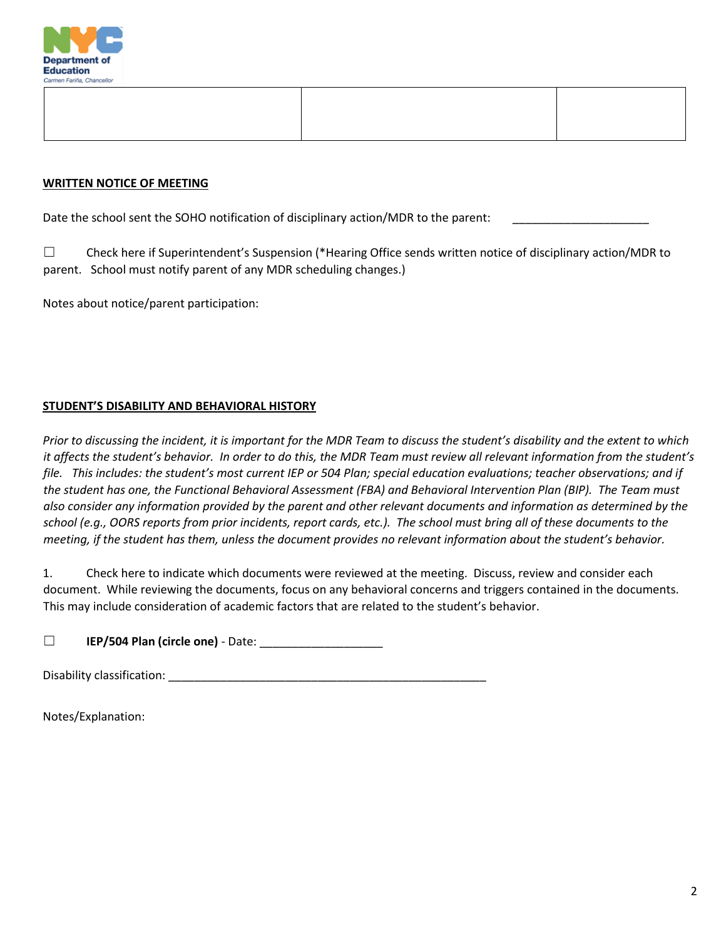

#### **WRITTEN NOTICE OF MEETING**

Date the school sent the SOHO notification of disciplinary action/MDR to the parent:

 ☐ Check here if Superintendent's Suspension (\*Hearing Office sends written notice of disciplinary action/MDR to parent. School must notify parent of any MDR scheduling changes.)

Notes about notice/parent participation:

#### **STUDENT'S DISABILITY AND BEHAVIORAL HISTORY**

file. This includes: the student's most current IEP or 504 Plan; special education evaluations; teacher observations; and if  *also consider any information provided by the parent and other relevant documents and information as determined by the Prior to discussing the incident, it is important for the MDR Team to discuss the student's disability and the extent to which it affects the student's behavior. In order to do this, the MDR Team must review all relevant information from the student's the student has one, the Functional Behavioral Assessment (FBA) and Behavioral Intervention Plan (BIP). The Team must school (e.g., OORS reports from prior incidents, report cards, etc.). The school must bring all of these documents to the meeting, if the student has them, unless the document provides no relevant information about the student's behavior.* 

1. Check here to indicate which documents were reviewed at the meeting. Discuss, review and consider each document. While reviewing the documents, focus on any behavioral concerns and triggers contained in the documents. This may include consideration of academic factors that are related to the student's behavior.

☐ **IEP/504 Plan (circle one)** - Date: \_\_\_\_\_\_\_\_\_\_\_\_\_\_\_\_\_\_\_

Disability classification: \_\_\_\_\_\_\_\_\_\_\_\_\_\_\_\_\_\_\_\_\_\_\_\_\_\_\_\_\_\_\_\_\_\_\_\_\_\_\_\_\_\_\_\_\_\_\_\_\_

Notes/Explanation: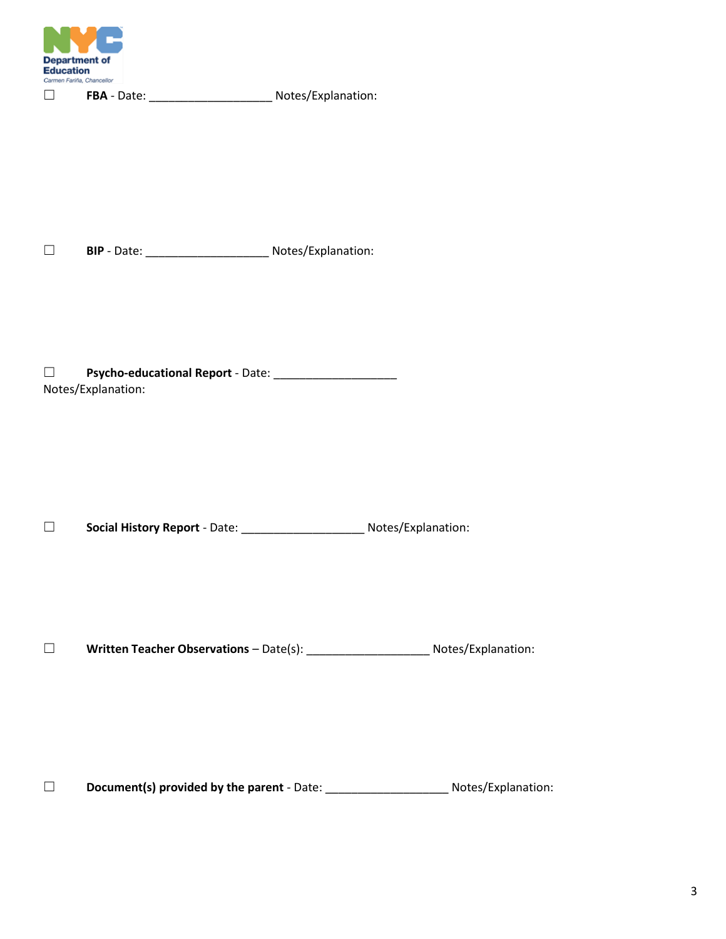

☐ **FBA** - Date: \_\_\_\_\_\_\_\_\_\_\_\_\_\_\_\_\_\_\_ Notes/Explanation:

☐ **BIP** - Date: \_\_\_\_\_\_\_\_\_\_\_\_\_\_\_\_\_\_\_ Notes/Explanation:

 \_\_\_\_\_\_\_\_\_\_\_\_\_\_\_\_\_\_\_ ☐ **Psycho-educational Report** - Date: Notes/Explanation:

☐ **Social History Report** - Date: \_\_\_\_\_\_\_\_\_\_\_\_\_\_\_\_\_\_\_ Notes/Explanation:

☐ **Written Teacher Observations** – Date(s): \_\_\_\_\_\_\_\_\_\_\_\_\_\_\_\_\_\_\_ Notes/Explanation:

□ Document(s) provided by the parent - Date: \_\_\_\_\_\_\_\_\_\_\_\_\_\_\_\_\_\_\_\_\_\_\_\_\_\_\_\_\_\_\_\_\_\_ Notes/Explanation: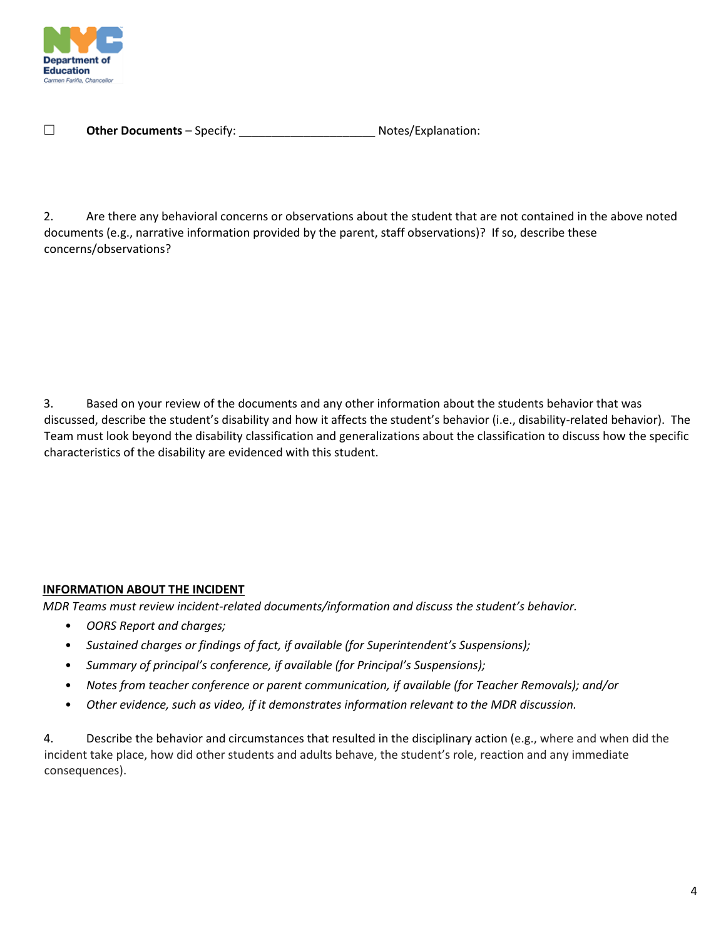

\_\_\_\_\_\_\_\_\_\_\_\_\_\_\_\_\_\_\_\_\_ ☐ **Other Documents** – Specify: Notes/Explanation:

2. Are there any behavioral concerns or observations about the student that are not contained in the above noted documents (e.g., narrative information provided by the parent, staff observations)? If so, describe these concerns/observations?

3. Based on your review of the documents and any other information about the students behavior that was discussed, describe the student's disability and how it affects the student's behavior (i.e., disability-related behavior). The Team must look beyond the disability classification and generalizations about the classification to discuss how the specific characteristics of the disability are evidenced with this student.

#### **INFORMATION ABOUT THE INCIDENT**

 *MDR Teams must review incident-related documents/information and discuss the student's behavior/* 

- *OORS Report and charges;*
- *Sustained charges or findings of fact, if available (for Superintendent's Suspensions)-*
- *Summary of principal's conference, if available (for Principal's Suspensions)-*
- *Notes from teacher conference or parent communication, if available (for Teacher Removals); and/or*
- *Other evidence, such as video, if it demonstrates information relevant to the MDR discussion.*

4. Describe the behavior and circumstances that resulted in the disciplinary action (e.g., where and when did the incident take place, how did other students and adults behave, the student's role, reaction and any immediate consequences).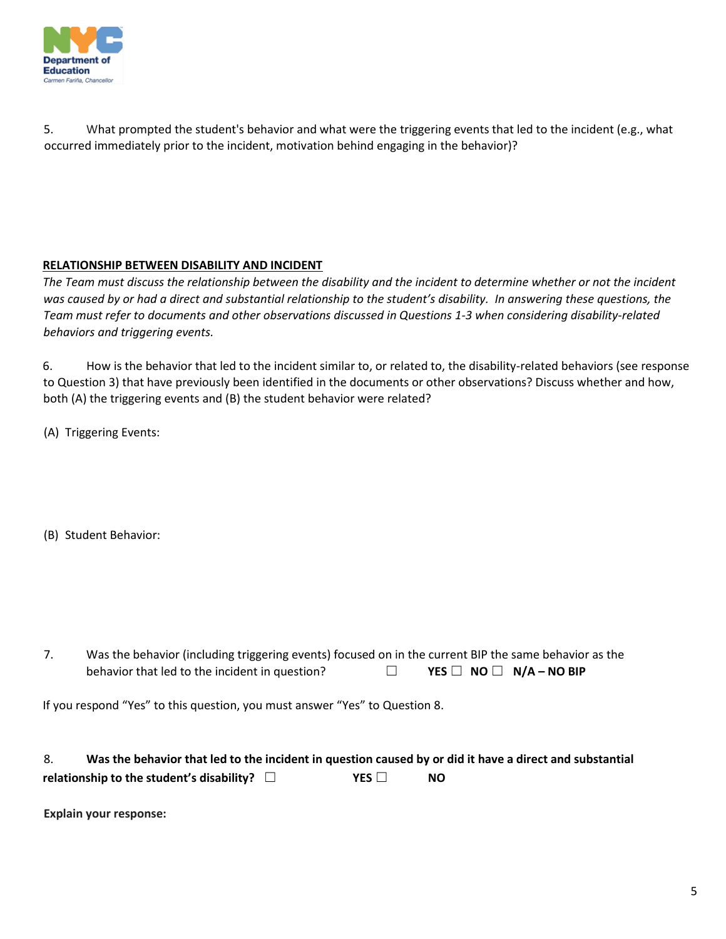

5. What prompted the student's behavior and what were the triggering events that led to the incident (e.g., what occurred immediately prior to the incident, motivation behind engaging in the behavior)?

#### **RELATIONSHIP BETWEEN DISABILITY AND INCIDENT**

*The Team must discuss the relationship between the disability and the incident to determine whether or not the incident*  was caused by or had a direct and substantial relationship to the student's disability. In answering these questions, the *Team must refer to documents and other observations discussed in Questions 1-3 when considering disability-related behaviors and triggering events.* 

6. How is the behavior that led to the incident similar to, or related to, the disability-related behaviors (see response to Question 3) that have previously been identified in the documents or other observations? Discuss whether and how, both (A) the triggering events and (B) the student behavior were related?

(A) Triggering Events:

(B) Student Behavior:

| Was the behavior (including triggering events) focused on in the current BIP the same behavior as the |  |                                   |  |
|-------------------------------------------------------------------------------------------------------|--|-----------------------------------|--|
| behavior that led to the incident in question?                                                        |  | YES $\Box$ NO $\Box$ N/A – NO BIP |  |

If you respond "Yes" to this question, you must answer "Yes" to Question 8.

## **relationship to the student's disability?** ☐ **YES** ☐ **NO**  8. **Was the behavior that led to the incident in question caused by or did it have a direct and substantial**

**Explain your response:**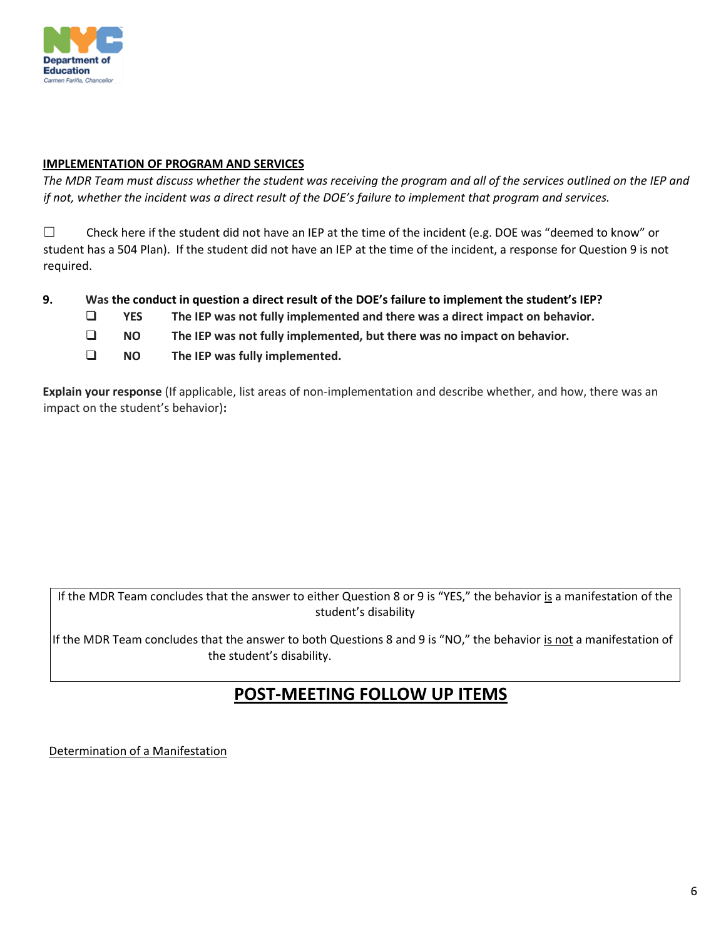

#### **IMPLEMENTATION OF PROGRAM AND SERVICES**

*The MDR Team must discuss whether the student was receiving the program and all of the services outlined on the IEP and if not, whether the incident was a direct result of the DOE's failure to implement that program and services.* 

 ☐ Check here if the student did not have an IEP at the time of the incident (e.g. DOE was "deemed to know" or student has a 504 Plan). If the student did not have an IEP at the time of the incident, a response for Question 9 is not required.

#### **9. Was the conduct in question a direct result of the DOE's failure to implement the student's IEP?**

- **YES YES The IEP was not fully implemented and there was a direct impact on behavior.**
- **NO The IEP was not fully implemented, but there was no impact on behavior.**
- **NO The IEP was fully implemented.**

**Explain your response** (If applicable, list areas of non-implementation and describe whether, and how, there was an impact on the student's behavior)**:** 

If the MDR Team concludes that the answer to either Question 8 or 9 is "YES," the behavior is a manifestation of the student's disability

If the MDR Team concludes that the answer to both Questions 8 and 9 is "NO," the behavior is not a manifestation of the student's disability.

## **POST-MEETING FOLLOW UP ITEMS**

Determination of a Manifestation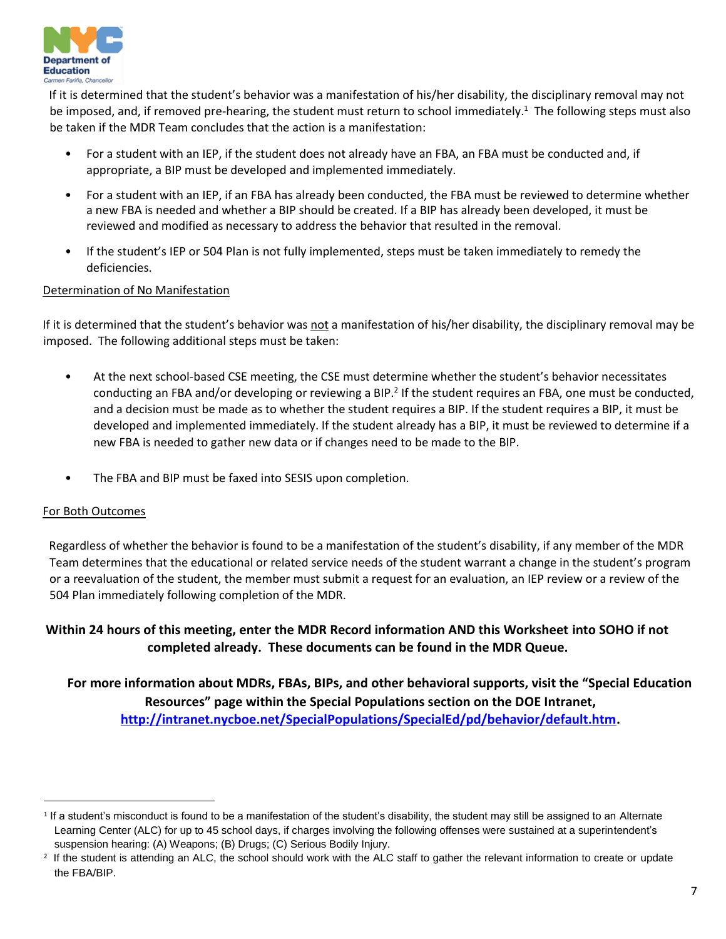

If it is determined that the student's behavior was a manifestation of his/her disability, the disciplinary removal may not be imposed, and, if removed pre-hearing, the student must return to school immediately.<sup>1</sup> The following steps must also be taken if the MDR Team concludes that the action is a manifestation:

- appropriate, a BIP must be developed and implemented immediately. For a student with an IEP, if the student does not already have an FBA, an FBA must be conducted and, if
- reviewed and modified as necessary to address the behavior that resulted in the removal. For a student with an IEP, if an FBA has already been conducted, the FBA must be reviewed to determine whether a new FBA is needed and whether a BIP should be created. If a BIP has already been developed, it must be
- • If the student's IEP or 504 Plan is not fully implemented, steps must be taken immediately to remedy the deficiencies.

#### Determination of No Manifestation

If it is determined that the student's behavior was not a manifestation of his/her disability, the disciplinary removal may be imposed. The following additional steps must be taken:

- • At the next school-based CSE meeting, the CSE must determine whether the student's behavior necessitates conducting an FBA and/or developing or reviewing a BIP.<sup>2</sup> If the student requires an FBA, one must be conducted, and a decision must be made as to whether the student requires a BIP. If the student requires a BIP, it must be developed and implemented immediately. If the student already has a BIP, it must be reviewed to determine if a new FBA is needed to gather new data or if changes need to be made to the BIP.
- The FBA and BIP must be faxed into SESIS upon completion.

#### For Both Outcomes

l

Regardless of whether the behavior is found to be a manifestation of the student's disability, if any member of the MDR Team determines that the educational or related service needs of the student warrant a change in the student's program or a reevaluation of the student, the member must submit a request for an evaluation, an IEP review or a review of the 504 Plan immediately following completion of the MDR.

## **Within 24 hours of this meeting, enter the MDR Record information AND this Worksheet into SOHO if not completed already. These documents can be found in the MDR Queue.**

 **For more information about MDRs, FB!s, BIPs, and other behavioral supports, visit the "Special Education Resources" page within the Special Populations section on the DOE Intranet, [http://intranet.nycboe.net/SpecialPopulations/SpecialEd/pd/behavior/default.htm.](http://intranet.nycboe.net/SpecialPopulations/SpecialEd/pd/behavior/default.htm)** 

<sup>&</sup>lt;sup>1</sup> If a student's misconduct is found to be a manifestation of the student's disability, the student may still be assigned to an Alternate Learning Center (ALC) for up to 45 school days, if charges involving the following offenses were sustained at a superintendent's suspension hearing: (A) Weapons; (B) Drugs; (C) Serious Bodily Injury.

 $2\,$  If the student is attending an ALC, the school should work with the ALC staff to gather the relevant information to create or update the FBA/BIP.